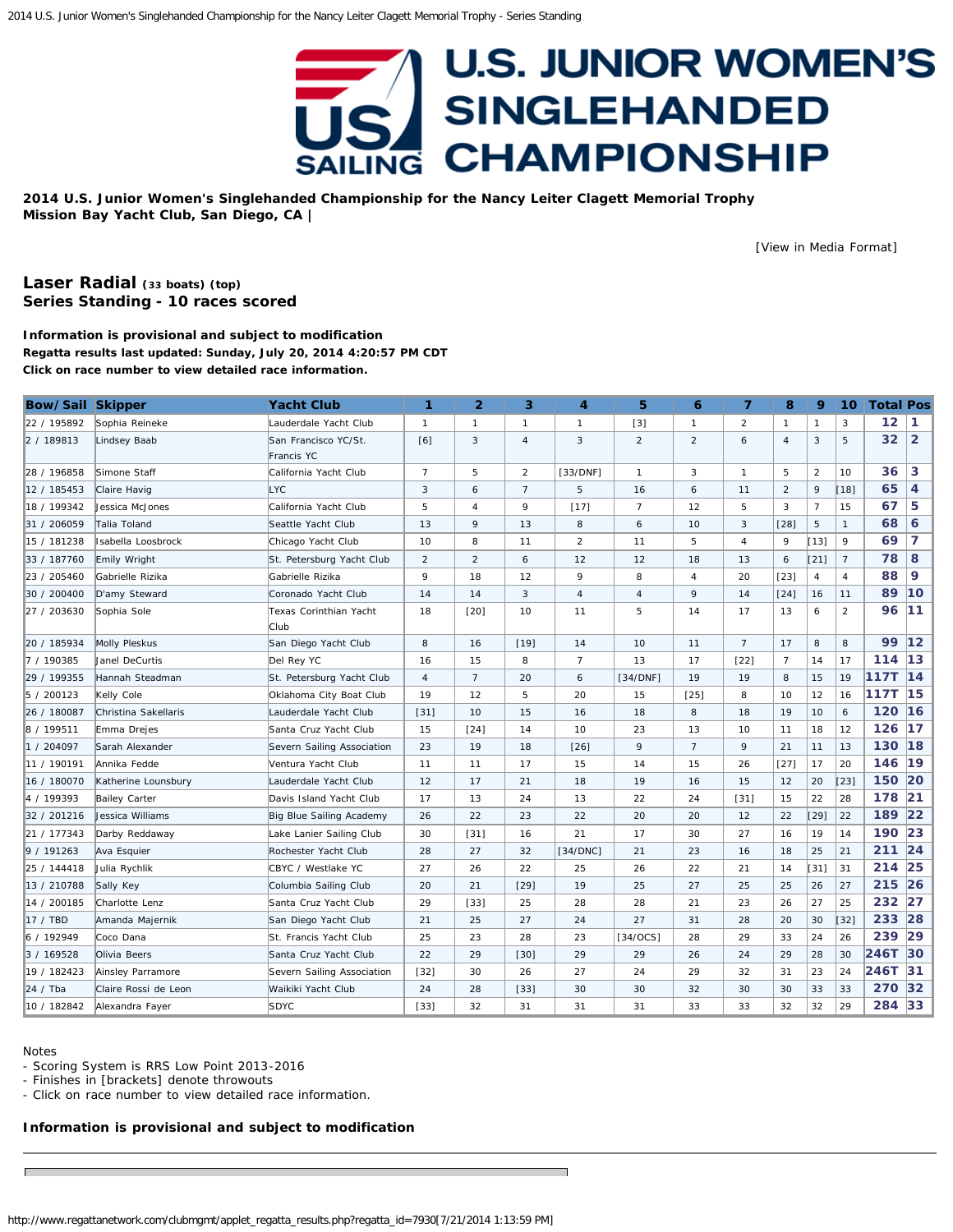## **U.S. JUNIOR WOMEN'S SINGLEHANDED CHAMPIONSHIP SAILING**

<span id="page-0-0"></span>**2014 U.S. Junior Women's Singlehanded Championship for the Nancy Leiter Clagett Memorial Trophy Mission Bay Yacht Club, San Diego, CA |**

[\[View in Media Format](http://www.regattanetwork.com/clubmgmt/applet_regatta_results.php?regatta_id=7930&media_format=1)]

## **[Laser Radial](http://www.regattanetwork.com/clubmgmt/applet_regatta_results.php?regatta_id=7930&limit_fleet=Laser+Radial) (33 boats) [\(top\)](#page-0-0) Series Standing - 10 races scored**

**Information is provisional and subject to modification Regatta results last updated: Sunday, July 20, 2014 4:20:57 PM CDT Click on race number to view detailed race information.**

| <b>Bow/Sail Skipper</b> |                       | <b>Yacht Club</b>                  | 1              | $\overline{2}$ | 3              | 4              | 5              | 6              | $\overline{7}$ | 8              | 9              | 10 <sup>°</sup> | <b>Total Pos</b> |                |
|-------------------------|-----------------------|------------------------------------|----------------|----------------|----------------|----------------|----------------|----------------|----------------|----------------|----------------|-----------------|------------------|----------------|
| 22 / 195892             | Sophia Reineke        | Lauderdale Yacht Club              | $\mathbf{1}$   | $\mathbf{1}$   | $\mathbf{1}$   | $\mathbf{1}$   | $[3]$          | $\mathbf{1}$   | $\overline{2}$ | $\mathbf{1}$   | $\mathbf{1}$   | 3               | 12               | 1              |
| 2 / 189813              | Lindsey Baab          | San Francisco YC/St.<br>Francis YC | [6]            | 3              | $\overline{4}$ | 3              | $\overline{2}$ | $\overline{2}$ | 6              | $\overline{4}$ | 3              | 5               | 32               | $\overline{2}$ |
| 28 / 196858             | Simone Staff          | California Yacht Club              | 7              | 5              | 2              | [33/DNF]       | $\mathbf{1}$   | 3              | $\mathbf{1}$   | 5              | $\overline{2}$ | 10              | 36               | 3              |
| 12 / 185453             | Claire Havig          | <b>LYC</b>                         | 3              | 6              | $\overline{7}$ | 5              | 16             | 6              | 11             | $\overline{2}$ | 9              | $[18]$          | 65               | 4              |
| 18 / 199342             | Jessica McJones       | California Yacht Club              | 5              | $\overline{4}$ | 9              | $[17]$         | $\overline{7}$ | 12             | 5              | 3              | $\overline{7}$ | 15              | 67               | 5              |
| 31 / 206059             | Talia Toland          | Seattle Yacht Club                 | 13             | 9              | 13             | 8              | 6              | 10             | 3              | $[28]$         | $\,$ 5         | $\mathbf{1}$    | 68               | 6              |
| 15 / 181238             | Isabella Loosbrock    | Chicago Yacht Club                 | 10             | 8              | 11             | 2              | 11             | 5              | 4              | 9              | [13]           | 9               | 69               | 7              |
| 33 / 187760             | Emily Wright          | St. Petersburg Yacht Club          | $\overline{2}$ | 2              | 6              | 12             | 12             | 18             | 13             | 6              | $[21]$         | 7               | 78               | 8              |
| 23 / 205460             | Gabrielle Rizika      | Gabrielle Rizika                   | 9              | 18             | 12             | 9              | 8              | $\overline{4}$ | 20             | $[23]$         | $\overline{4}$ | 4               | 88               | 9              |
| 30 / 200400             | D'amy Steward         | Coronado Yacht Club                | 14             | 14             | 3              | $\overline{4}$ | $\overline{4}$ | 9              | 14             | $[24]$         | 16             | 11              | 89               | 10             |
| 27 / 203630             | Sophia Sole           | Texas Corinthian Yacht<br>Club     | 18             | [20]           | 10             | 11             | 5              | 14             | 17             | 13             | 6              | 2               | 96               | 11             |
| 20 / 185934             | <b>Molly Pleskus</b>  | San Diego Yacht Club               | 8              | 16             | $[19]$         | 14             | 10             | 11             | $\overline{7}$ | 17             | 8              | 8               | 99               | $12$           |
| 7 / 190385              | <b>Janel DeCurtis</b> | Del Rey YC                         | 16             | 15             | 8              | $\overline{7}$ | 13             | 17             | $[22]$         | $\overline{7}$ | 14             | 17              | 114              | 13             |
| 29 / 199355             | Hannah Steadman       | St. Petersburg Yacht Club          | $\overline{4}$ | $\overline{7}$ | 20             | 6              | [34/DNF]       | 19             | 19             | 8              | 15             | 19              | <b>117T</b>      | 14             |
| 5 / 200123              | Kelly Cole            | Oklahoma City Boat Club            | 19             | 12             | 5              | 20             | 15             | [25]           | 8              | 10             | 12             | 16              | 117T             | 15             |
| 26 / 180087             | Christina Sakellaris  | Lauderdale Yacht Club              | $[31]$         | 10             | 15             | 16             | 18             | 8              | 18             | 19             | 10             | 6               | 120              | 16             |
| 8 / 199511              | Emma Drejes           | Santa Cruz Yacht Club              | 15             | [24]           | 14             | 10             | 23             | 13             | 10             | 11             | 18             | 12              | 126              | 17             |
| 1 / 204097              | Sarah Alexander       | Severn Sailing Association         | 23             | 19             | 18             | $[26]$         | 9              | $\overline{7}$ | 9              | 21             | 11             | 13              | 130              | 18             |
| 11 / 190191             | Annika Fedde          | Ventura Yacht Club                 | 11             | 11             | 17             | 15             | 14             | 15             | 26             | $[27]$         | 17             | 20              | 146              | 19             |
| 16 / 180070             | Katherine Lounsbury   | Lauderdale Yacht Club              | 12             | 17             | 21             | 18             | 19             | 16             | 15             | 12             | 20             | $[23]$          | 150              | 20             |
| 4 / 199393              | <b>Bailey Carter</b>  | Davis Island Yacht Club            | 17             | 13             | 24             | 13             | 22             | 24             | $[31]$         | 15             | 22             | 28              | 178              | 21             |
| 32 / 201216             | Jessica Williams      | Big Blue Sailing Academy           | 26             | 22             | 23             | 22             | 20             | 20             | 12             | 22             | $[29]$         | 22              | 189              | 22             |
| 21 / 177343             | Darby Reddaway        | Lake Lanier Sailing Club           | 30             | $[31]$         | 16             | 21             | 17             | 30             | 27             | 16             | 19             | 14              | 190              | 23             |
| 9 / 191263              | Ava Esquier           | Rochester Yacht Club               | 28             | 27             | 32             | [34/DNC]       | 21             | 23             | 16             | 18             | 25             | 21              | 211              | 24             |
| 25 / 144418             | Julia Rychlik         | CBYC / Westlake YC                 | 27             | 26             | 22             | 25             | 26             | 22             | 21             | 14             | $[31]$         | 31              | 214              | 25             |
| 13 / 210788             | Sally Key             | Columbia Sailing Club              | 20             | 21             | $[29]$         | 19             | 25             | 27             | 25             | 25             | 26             | 27              | 215 26           |                |
| 14 / 200185             | Charlotte Lenz        | Santa Cruz Yacht Club              | 29             | $[33]$         | 25             | 28             | 28             | 21             | 23             | 26             | 27             | 25              | 232 27           |                |
| 17 / TBD                | Amanda Majernik       | San Diego Yacht Club               | 21             | 25             | 27             | 24             | 27             | 31             | 28             | 20             | 30             | $[32]$          | 233 28           |                |
| 6 / 192949              | Coco Dana             | St. Francis Yacht Club             | 25             | 23             | 28             | 23             | $[34/0CS]$     | 28             | 29             | 33             | 24             | 26              | 239              | 29             |
| 3 / 169528              | Olivia Beers          | Santa Cruz Yacht Club              | 22             | 29             | [30]           | 29             | 29             | 26             | 24             | 29             | 28             | 30              | 246T             | 30             |
| 19 / 182423             | Ainsley Parramore     | Severn Sailing Association         | $[32]$         | 30             | 26             | 27             | 24             | 29             | 32             | 31             | 23             | 24              | 246T             | 31             |
| 24 / Tha                | Claire Rossi de Leon  | Waikiki Yacht Club                 | 24             | 28             | $[33]$         | 30             | 30             | 32             | 30             | 30             | 33             | 33              | 270              | 32             |
| 10 / 182842             | Alexandra Fayer       | <b>SDYC</b>                        | $[33]$         | 32             | 31             | 31             | 31             | 33             | 33             | 32             | 32             | 29              | 284 33           |                |

Notes

- Scoring System is RRS Low Point 2013-2016

- Finishes in [brackets] denote throwouts

- Click on race number to view detailed race information.

**Information is provisional and subject to modification**